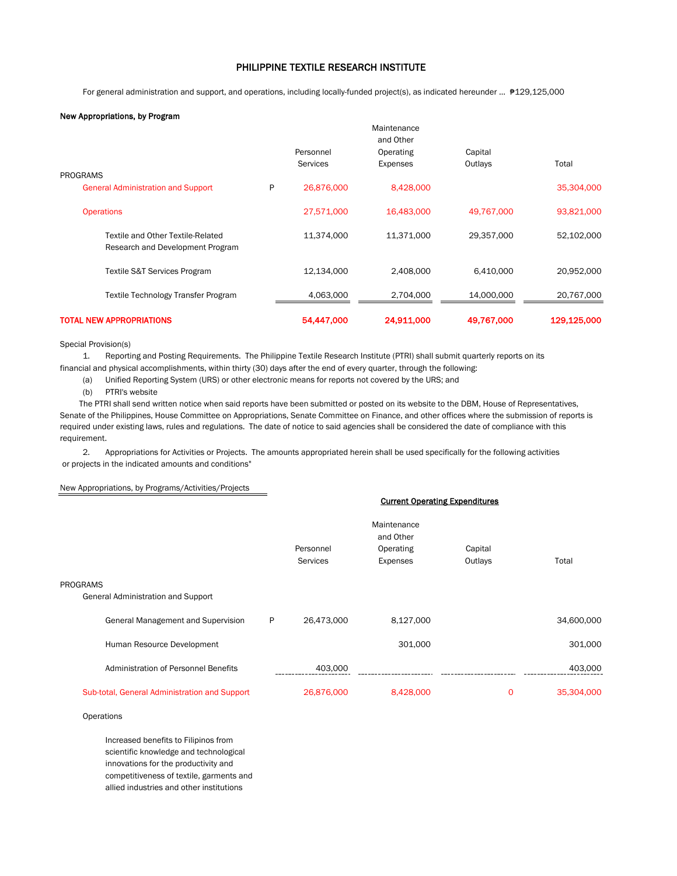## PHILIPPINE TEXTILE RESEARCH INSTITUTE

For general administration and support, and operations, including locally-funded project(s), as indicated hereunder … ₱129,125,000

## New Appropriations, by Program

|                                                                       |   |                              | Maintenance<br>and Other |                    |             |
|-----------------------------------------------------------------------|---|------------------------------|--------------------------|--------------------|-------------|
| <b>PROGRAMS</b>                                                       |   | Personnel<br><b>Services</b> | Operating<br>Expenses    | Capital<br>Outlays | Total       |
| <b>General Administration and Support</b>                             | P | 26,876,000                   | 8,428,000                |                    | 35,304,000  |
| <b>Operations</b>                                                     |   | 27,571,000                   | 16,483,000               | 49,767,000         | 93,821,000  |
| Textile and Other Textile-Related<br>Research and Development Program |   | 11,374,000                   | 11,371,000               | 29,357,000         | 52,102,000  |
| Textile S&T Services Program                                          |   | 12,134,000                   | 2,408,000                | 6,410,000          | 20,952,000  |
| Textile Technology Transfer Program                                   |   | 4,063,000                    | 2,704,000                | 14,000,000         | 20,767,000  |
| <b>TOTAL NEW APPROPRIATIONS</b>                                       |   | 54,447,000                   | 24,911,000               | 49,767,000         | 129,125,000 |

Special Provision(s)

1. Reporting and Posting Requirements. The Philippine Textile Research Institute (PTRI) shall submit quarterly reports on its

financial and physical accomplishments, within thirty (30) days after the end of every quarter, through the following:

(a) Unified Reporting System (URS) or other electronic means for reports not covered by the URS; and

(b) PTRI's website

 The PTRI shall send written notice when said reports have been submitted or posted on its website to the DBM, House of Representatives, Senate of the Philippines, House Committee on Appropriations, Senate Committee on Finance, and other offices where the submission of reports is required under existing laws, rules and regulations. The date of notice to said agencies shall be considered the date of compliance with this requirement.

2. Appropriations for Activities or Projects. The amounts appropriated herein shall be used specifically for the following activities or projects in the indicated amounts and conditions"

## New Appropriations, by Programs/Activities/Projects

|                                               | Maintenance<br>and Other<br>Personnel<br>Operating |                 |           | Capital |            |
|-----------------------------------------------|----------------------------------------------------|-----------------|-----------|---------|------------|
|                                               |                                                    | <b>Services</b> | Expenses  | Outlays | Total      |
|                                               |                                                    |                 |           |         |            |
| PROGRAMS                                      |                                                    |                 |           |         |            |
| <b>General Administration and Support</b>     |                                                    |                 |           |         |            |
| General Management and Supervision            | P                                                  | 26,473,000      | 8,127,000 |         | 34,600,000 |
| Human Resource Development                    |                                                    |                 | 301,000   |         | 301,000    |
| Administration of Personnel Benefits          |                                                    | 403,000         |           |         | 403,000    |
| Sub-total, General Administration and Support |                                                    | 26,876,000      | 8,428,000 | 0       | 35,304,000 |

Current Operating Expenditures

**Operations** 

Increased benefits to Filipinos from scientific knowledge and technological innovations for the productivity and competitiveness of textile, garments and allied industries and other institutions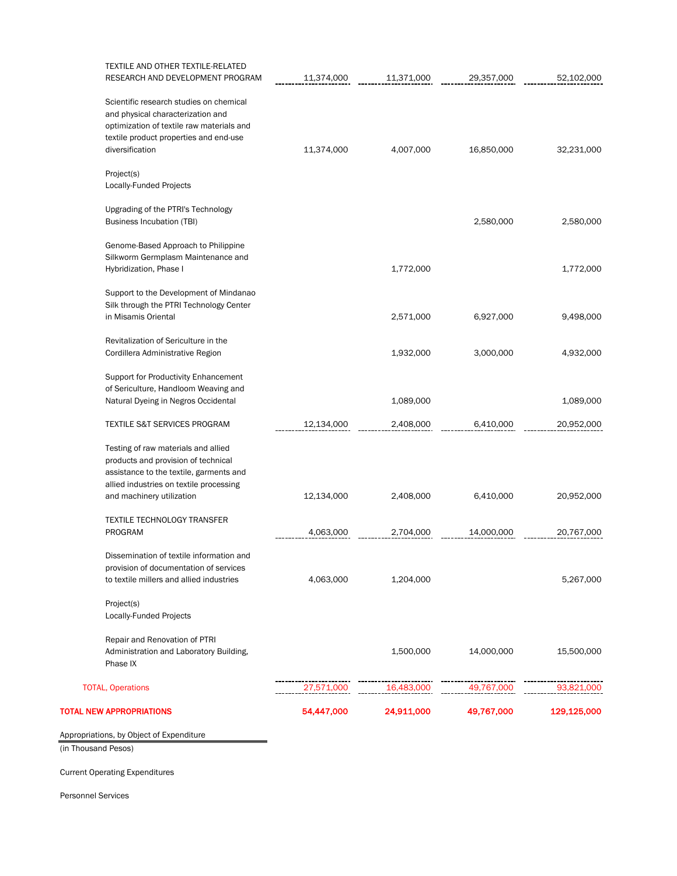| TOTAL NEW APPROPRIATIONS                                                                                                                                                                      | 54,447,000 | 24,911,000 | 49,767,000 | 129,125,000 |
|-----------------------------------------------------------------------------------------------------------------------------------------------------------------------------------------------|------------|------------|------------|-------------|
| <b>TOTAL, Operations</b>                                                                                                                                                                      | 27,571,000 | 16,483,000 | 49,767,000 | 93,821,000  |
| Repair and Renovation of PTRI<br>Administration and Laboratory Building,<br>Phase IX                                                                                                          |            | 1,500,000  | 14,000,000 | 15,500,000  |
| Project(s)<br>Locally-Funded Projects                                                                                                                                                         |            |            |            |             |
| Dissemination of textile information and<br>provision of documentation of services<br>to textile millers and allied industries                                                                | 4,063,000  | 1,204,000  |            | 5,267,000   |
| <b>TEXTILE TECHNOLOGY TRANSFER</b><br><b>PROGRAM</b>                                                                                                                                          | 4,063,000  | 2,704,000  | 14,000,000 | 20,767,000  |
| Testing of raw materials and allied<br>products and provision of technical<br>assistance to the textile, garments and<br>allied industries on textile processing<br>and machinery utilization | 12,134,000 | 2,408,000  | 6,410,000  | 20,952,000  |
| <b>TEXTILE S&amp;T SERVICES PROGRAM</b>                                                                                                                                                       | 12,134,000 | 2,408,000  | 6,410,000  | 20,952,000  |
| Support for Productivity Enhancement<br>of Sericulture, Handloom Weaving and<br>Natural Dyeing in Negros Occidental                                                                           |            | 1,089,000  |            | 1,089,000   |
| Revitalization of Sericulture in the<br>Cordillera Administrative Region                                                                                                                      |            | 1,932,000  | 3,000,000  | 4,932,000   |
| Support to the Development of Mindanao<br>Silk through the PTRI Technology Center<br>in Misamis Oriental                                                                                      |            | 2,571,000  | 6,927,000  | 9,498,000   |
| Genome-Based Approach to Philippine<br>Silkworm Germplasm Maintenance and<br>Hybridization, Phase I                                                                                           |            | 1,772,000  |            | 1,772,000   |
| Upgrading of the PTRI's Technology<br>Business Incubation (TBI)                                                                                                                               |            |            | 2,580,000  | 2,580,000   |
| Project(s)<br>Locally-Funded Projects                                                                                                                                                         |            |            |            |             |
| Scientific research studies on chemical<br>and physical characterization and<br>optimization of textile raw materials and<br>textile product properties and end-use<br>diversification        | 11,374,000 | 4,007,000  | 16,850,000 | 32,231,000  |
| TEXTILE AND OTHER TEXTILE-RELATED<br>RESEARCH AND DEVELOPMENT PROGRAM                                                                                                                         | 11,374,000 | 11,371,000 | 29,357,000 | 52,102,000  |

Appropriations, by Object of Expenditure

(in Thousand Pesos)

Current Operating Expenditures

Personnel Services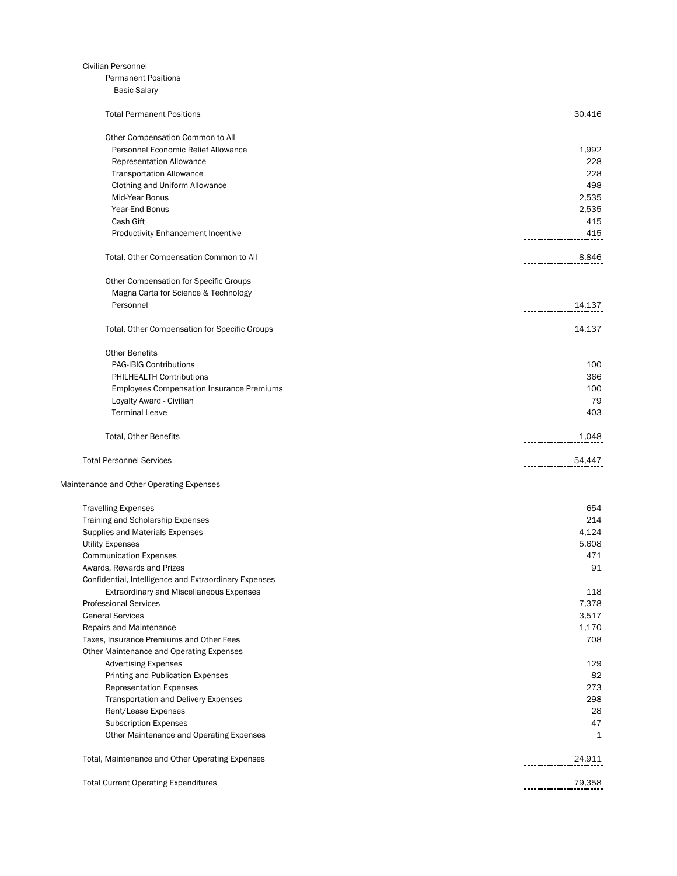| Civilian Personnel                                    |        |
|-------------------------------------------------------|--------|
| <b>Permanent Positions</b>                            |        |
| <b>Basic Salary</b>                                   |        |
| <b>Total Permanent Positions</b>                      | 30,416 |
| Other Compensation Common to All                      |        |
| Personnel Economic Relief Allowance                   | 1,992  |
| <b>Representation Allowance</b>                       | 228    |
| <b>Transportation Allowance</b>                       | 228    |
| Clothing and Uniform Allowance                        | 498    |
| Mid-Year Bonus                                        | 2,535  |
| Year-End Bonus                                        | 2,535  |
| Cash Gift                                             | 415    |
| <b>Productivity Enhancement Incentive</b>             | 415    |
| Total, Other Compensation Common to All               | 8,846  |
| Other Compensation for Specific Groups                |        |
| Magna Carta for Science & Technology                  |        |
| Personnel                                             | 14,137 |
| Total, Other Compensation for Specific Groups         | 14,137 |
| <b>Other Benefits</b>                                 |        |
| <b>PAG-IBIG Contributions</b>                         | 100    |
| PHILHEALTH Contributions                              | 366    |
| <b>Employees Compensation Insurance Premiums</b>      | 100    |
| Loyalty Award - Civilian                              | 79     |
| <b>Terminal Leave</b>                                 | 403    |
| Total, Other Benefits                                 | 1,048  |
| <b>Total Personnel Services</b>                       | 54,447 |
| Maintenance and Other Operating Expenses              |        |
| <b>Travelling Expenses</b>                            | 654    |
| Training and Scholarship Expenses                     | 214    |
| Supplies and Materials Expenses                       | 4,124  |
| <b>Utility Expenses</b>                               | 5,608  |
| <b>Communication Expenses</b>                         | 471    |
| Awards, Rewards and Prizes                            | 91     |
| Confidential, Intelligence and Extraordinary Expenses |        |
| Extraordinary and Miscellaneous Expenses              | 118    |
| <b>Professional Services</b>                          | 7,378  |
| <b>General Services</b>                               | 3,517  |
| Repairs and Maintenance                               | 1,170  |
| Taxes, Insurance Premiums and Other Fees              | 708    |
| Other Maintenance and Operating Expenses              |        |
| <b>Advertising Expenses</b>                           | 129    |
| Printing and Publication Expenses                     | 82     |
| <b>Representation Expenses</b>                        | 273    |
| Transportation and Delivery Expenses                  | 298    |
| Rent/Lease Expenses                                   | 28     |
| <b>Subscription Expenses</b>                          | 47     |
| Other Maintenance and Operating Expenses              | 1      |
| Total, Maintenance and Other Operating Expenses       | 24,911 |
| <b>Total Current Operating Expenditures</b>           | 79,358 |